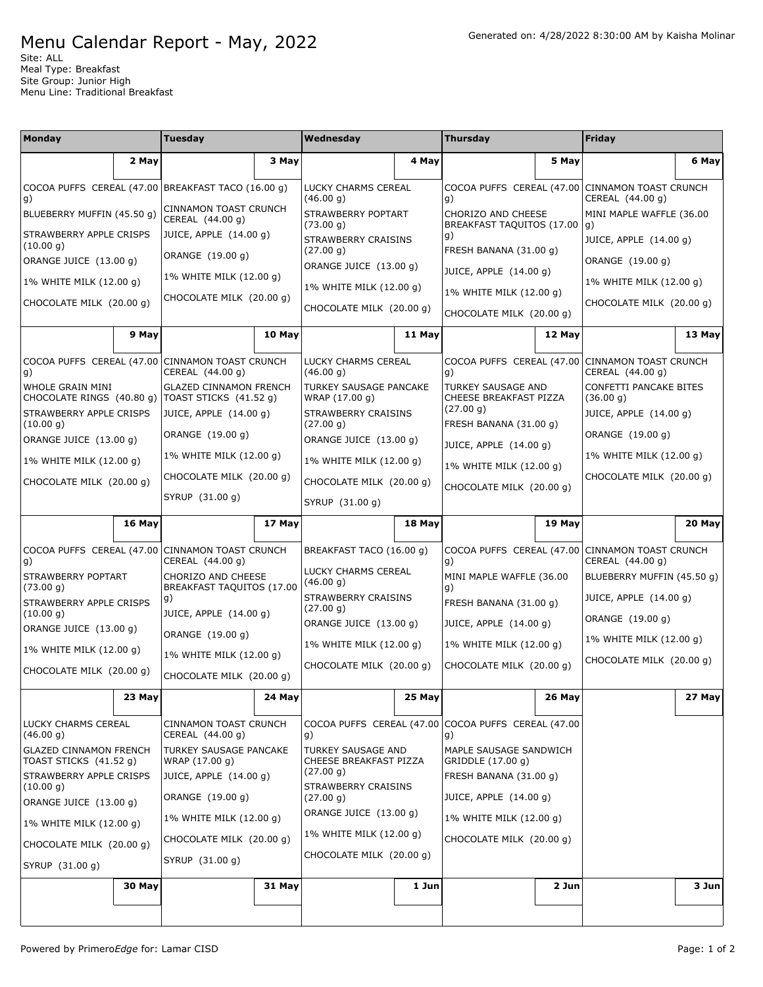## Menu Calendar Report - May, 2022

Site: ALL Meal Type: Breakfast Site Group: Junior High Menu Line: Traditional Breakfast

| <b>Monday</b>                                           |                                                    | <b>Tuesday</b>                                          |                     | Wednesday                                    |                                                 | <b>Thursday</b>                                                                                               |                  | Friday                                                              |        |
|---------------------------------------------------------|----------------------------------------------------|---------------------------------------------------------|---------------------|----------------------------------------------|-------------------------------------------------|---------------------------------------------------------------------------------------------------------------|------------------|---------------------------------------------------------------------|--------|
|                                                         | 2 May                                              |                                                         | 3 May               |                                              | 4 May                                           |                                                                                                               | 5 May            |                                                                     | 6 May  |
|                                                         | COCOA PUFFS CEREAL (47.00 BREAKFAST TACO (16.00 g) |                                                         | LUCKY CHARMS CEREAL |                                              | COCOA PUFFS CEREAL (47.00 CINNAMON TOAST CRUNCH |                                                                                                               | CEREAL (44.00 g) |                                                                     |        |
| g)<br>BLUEBERRY MUFFIN (45.50 g)                        |                                                    | <b>CINNAMON TOAST CRUNCH</b><br>CEREAL (44.00 g)        |                     | (46.00 g)<br>STRAWBERRY POPTART<br>(73.00 g) |                                                 | g)<br>CHORIZO AND CHEESE<br>BREAKFAST TAQUITOS (17.00<br>g)<br>FRESH BANANA (31.00 g)                         |                  | MINI MAPLE WAFFLE (36.00<br>g)                                      |        |
| STRAWBERRY APPLE CRISPS<br>(10.00 g)                    |                                                    | JUICE, APPLE (14.00 g)                                  |                     | STRAWBERRY CRAISINS                          |                                                 |                                                                                                               |                  | JUICE, APPLE (14.00 g)                                              |        |
| ORANGE JUICE (13.00 g)                                  |                                                    | ORANGE (19.00 g)                                        |                     | (27.00 g)<br>ORANGE JUICE (13.00 g)          |                                                 |                                                                                                               |                  | ORANGE (19.00 g)                                                    |        |
| 1% WHITE MILK (12.00 g)                                 |                                                    | 1% WHITE MILK (12.00 g)                                 |                     | 1% WHITE MILK (12.00 g)                      |                                                 | JUICE, APPLE (14.00 g)                                                                                        |                  | 1% WHITE MILK (12.00 g)                                             |        |
| CHOCOLATE MILK (20.00 g)                                |                                                    | CHOCOLATE MILK (20.00 g)                                |                     | CHOCOLATE MILK (20.00 g)                     |                                                 | 1% WHITE MILK (12.00 g)                                                                                       |                  | CHOCOLATE MILK (20.00 g)                                            |        |
|                                                         |                                                    |                                                         |                     |                                              |                                                 | CHOCOLATE MILK (20.00 g)                                                                                      |                  |                                                                     |        |
|                                                         | 9 May                                              |                                                         | 10 May              |                                              | 11 May                                          |                                                                                                               | 12 May           |                                                                     | 13 May |
| COCOA PUFFS CEREAL (47.00 CINNAMON TOAST CRUNCH<br>g)   |                                                    | CEREAL (44.00 g)                                        |                     | LUCKY CHARMS CEREAL<br>(46.00 g)             |                                                 | COCOA PUFFS CEREAL (47.00 CINNAMON TOAST CRUNCH<br>g)                                                         |                  | CEREAL (44.00 g)                                                    |        |
| WHOLE GRAIN MINI<br>CHOCOLATE RINGS (40.80 g)           |                                                    | <b>GLAZED CINNAMON FRENCH</b><br>TOAST STICKS (41.52 g) |                     | TURKEY SAUSAGE PANCAKE<br>WRAP (17.00 g)     |                                                 | TURKEY SAUSAGE AND<br>CHEESE BREAKFAST PIZZA<br>(27.00 g)<br>FRESH BANANA (31.00 g)<br>JUICE, APPLE (14.00 g) |                  | CONFETTI PANCAKE BITES<br>(36.00 g)                                 |        |
| STRAWBERRY APPLE CRISPS<br>(10.00 g)                    |                                                    | JUICE, APPLE (14.00 q)                                  |                     | <b>STRAWBERRY CRAISINS</b><br>(27.00 g)      |                                                 |                                                                                                               |                  | JUICE, APPLE (14.00 g)                                              |        |
| ORANGE JUICE (13.00 g)                                  |                                                    | ORANGE (19.00 g)                                        |                     | ORANGE JUICE (13.00 g)                       |                                                 |                                                                                                               |                  | ORANGE (19.00 g)                                                    |        |
| 1% WHITE MILK (12.00 g)                                 |                                                    | 1% WHITE MILK (12.00 g)                                 |                     | 1% WHITE MILK (12.00 g)                      |                                                 | 1% WHITE MILK (12.00 g)                                                                                       |                  | 1% WHITE MILK (12.00 g)                                             |        |
| CHOCOLATE MILK (20.00 g)                                |                                                    | CHOCOLATE MILK (20.00 g)                                |                     | CHOCOLATE MILK (20.00 g)                     |                                                 | CHOCOLATE MILK (20.00 g)                                                                                      |                  | CHOCOLATE MILK (20.00 g)                                            |        |
|                                                         |                                                    | SYRUP (31.00 g)                                         |                     | SYRUP (31.00 g)                              |                                                 |                                                                                                               |                  |                                                                     |        |
|                                                         | 16 May                                             |                                                         | 17 May              |                                              | 18 May                                          |                                                                                                               | 19 May           |                                                                     | 20 May |
| COCOA PUFFS CEREAL (47.00<br>g)                         |                                                    | CINNAMON TOAST CRUNCH<br>CEREAL (44.00 g)               |                     | BREAKFAST TACO (16.00 g)                     |                                                 | g)                                                                                                            |                  | COCOA PUFFS CEREAL (47.00 CINNAMON TOAST CRUNCH<br>CEREAL (44.00 g) |        |
| STRAWBERRY POPTART<br>(73.00 g)                         |                                                    | CHORIZO AND CHEESE<br>BREAKFAST TAQUITOS (17.00         |                     | LUCKY CHARMS CEREAL<br>(46.00 g)             |                                                 | MINI MAPLE WAFFLE (36.00<br>g)                                                                                |                  | BLUEBERRY MUFFIN (45.50 g)                                          |        |
| STRAWBERRY APPLE CRISPS<br>(10.00 g)                    |                                                    | g)<br>JUICE, APPLE (14.00 g)                            |                     | STRAWBERRY CRAISINS<br>(27.00 g)             |                                                 | FRESH BANANA (31.00 g)                                                                                        |                  | JUICE, APPLE (14.00 g)                                              |        |
| ORANGE JUICE (13.00 g)                                  |                                                    | ORANGE (19.00 g)                                        |                     | ORANGE JUICE (13.00 g)                       |                                                 | JUICE, APPLE (14.00 g)                                                                                        |                  | ORANGE (19.00 g)                                                    |        |
| 1% WHITE MILK (12.00 g)                                 |                                                    | 1% WHITE MILK (12.00 g)                                 |                     | 1% WHITE MILK (12.00 q)                      |                                                 | 1% WHITE MILK (12.00 g)                                                                                       |                  | 1% WHITE MILK (12.00 g)                                             |        |
| CHOCOLATE MILK (20.00 g)                                |                                                    | CHOCOLATE MILK (20.00 g)                                |                     | CHOCOLATE MILK (20.00 q)                     |                                                 | CHOCOLATE MILK (20.00 g)                                                                                      |                  | CHOCOLATE MILK (20.00 g)                                            |        |
|                                                         | 23 May                                             |                                                         | 24 May              |                                              | 25 May                                          |                                                                                                               | <b>26 May</b>    |                                                                     | 27 May |
| <b>LUCKY CHARMS CEREAL</b><br>(46.00 g)                 |                                                    | <b>CINNAMON TOAST CRUNCH</b><br>CEREAL (44.00 g)        |                     | g)                                           |                                                 | COCOA PUFFS CEREAL (47.00 COCOA PUFFS CEREAL (47.00<br>g)                                                     |                  |                                                                     |        |
| <b>GLAZED CINNAMON FRENCH</b><br>TOAST STICKS (41.52 g) |                                                    | TURKEY SAUSAGE PANCAKE<br>WRAP (17.00 g)                |                     | TURKEY SAUSAGE AND<br>CHEESE BREAKFAST PIZZA |                                                 | MAPLE SAUSAGE SANDWICH<br>GRIDDLE (17.00 g)                                                                   |                  |                                                                     |        |
| STRAWBERRY APPLE CRISPS<br>(10.00 g)                    |                                                    | JUICE, APPLE (14.00 g)                                  |                     | (27.00 g)<br>STRAWBERRY CRAISINS             |                                                 | FRESH BANANA (31.00 g)                                                                                        |                  |                                                                     |        |
| ORANGE JUICE (13.00 g)                                  |                                                    | ORANGE (19.00 g)                                        |                     | (27.00 g)                                    |                                                 | JUICE, APPLE (14.00 g)                                                                                        |                  |                                                                     |        |
| 1% WHITE MILK (12.00 g)                                 |                                                    | 1% WHITE MILK (12.00 g)                                 |                     | ORANGE JUICE (13.00 g)                       |                                                 | 1% WHITE MILK (12.00 g)                                                                                       |                  |                                                                     |        |
| CHOCOLATE MILK (20.00 g)                                |                                                    | CHOCOLATE MILK (20.00 g)                                |                     | 1% WHITE MILK (12.00 g)                      |                                                 | CHOCOLATE MILK (20.00 g)                                                                                      |                  |                                                                     |        |
| SYRUP (31.00 g)                                         |                                                    | SYRUP (31.00 g)                                         |                     | CHOCOLATE MILK (20.00 g)                     |                                                 |                                                                                                               |                  |                                                                     |        |
|                                                         | 30 May                                             |                                                         | 31 May              |                                              | 1 Jun                                           |                                                                                                               | 2 Jun            |                                                                     | 3 Jun  |
|                                                         |                                                    |                                                         |                     |                                              |                                                 |                                                                                                               |                  |                                                                     |        |
|                                                         |                                                    |                                                         |                     |                                              |                                                 |                                                                                                               |                  |                                                                     |        |